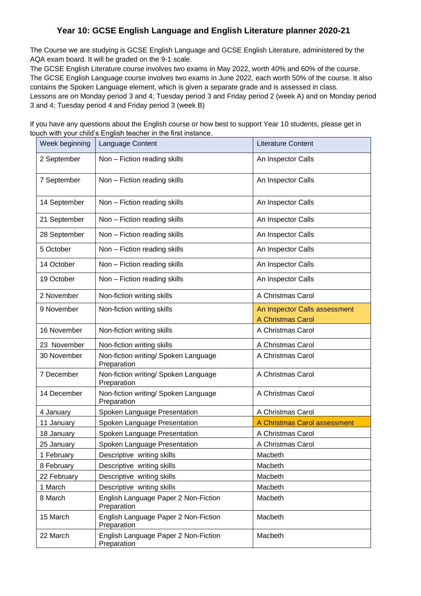## **Year 10: GCSE English Language and English Literature planner 2020-21**

The Course we are studying is GCSE English Language and GCSE English Literature, administered by the AQA exam board. It will be graded on the 9-1 scale.

The GCSE English Literature course involves two exams in May 2022, worth 40% and 60% of the course. The GCSE English Language course involves two exams in June 2022, each worth 50% of the course. It also contains the Spoken Language element, which is given a separate grade and is assessed in class. Lessons are on Monday period 3 and 4; Tuesday period 3 and Friday period 2 (week A) and on Monday period 3 and 4; Tuesday period 4 and Friday period 3 (week B)

Week beginning Language Content Literature Content Literature Content 2 September | Non – Fiction reading skills | An Inspector Calls 7 September | Non – Fiction reading skills | An Inspector Calls 14 September | Non – Fiction reading skills | An Inspector Calls 21 September | Non – Fiction reading skills | An Inspector Calls 28 September Non – Fiction reading skills An Inspector Calls 5 October | Non – Fiction reading skills | An Inspector Calls 14 October | Non – Fiction reading skills | An Inspector Calls 19 October | Non – Fiction reading skills | An Inspector Calls 2 November | Non-fiction writing skills | A Christmas Carol 9 November | Non-fiction writing skills An Inspector Calls assessment A Christmas Carol 16 November | Non-fiction writing skills | A Christmas Carol 23 November | Non-fiction writing skills | A Christmas Carol 30 November | Non-fiction writing/ Spoken Language **Preparation** A Christmas Carol 7 December | Non-fiction writing/ Spoken Language Preparation A Christmas Carol 14 December | Non-fiction writing/ Spoken Language Preparation A Christmas Carol 4 January Spoken Language Presentation | A Christmas Carol 11 January Spoken Language Presentation A Christmas Carol assessment 18 January Spoken Language Presentation A Christmas Carol 25 January | Spoken Language Presentation | A Christmas Carol 1 February 1 Descriptive writing skills 1 Number 1 Macbeth 8 February | Descriptive writing skills | Macbeth 22 February Descriptive writing skills Macbeth 1 March **Descriptive writing skills** Macbeth 8 March English Language Paper 2 Non-Fiction Preparation Macbeth 15 March **English Language Paper 2 Non-Fiction Preparation** Macbeth 22 March English Language Paper 2 Non-Fiction **Preparation** Macbeth

If you have any questions about the English course or how best to support Year 10 students, please get in touch with your child's English teacher in the first instance.